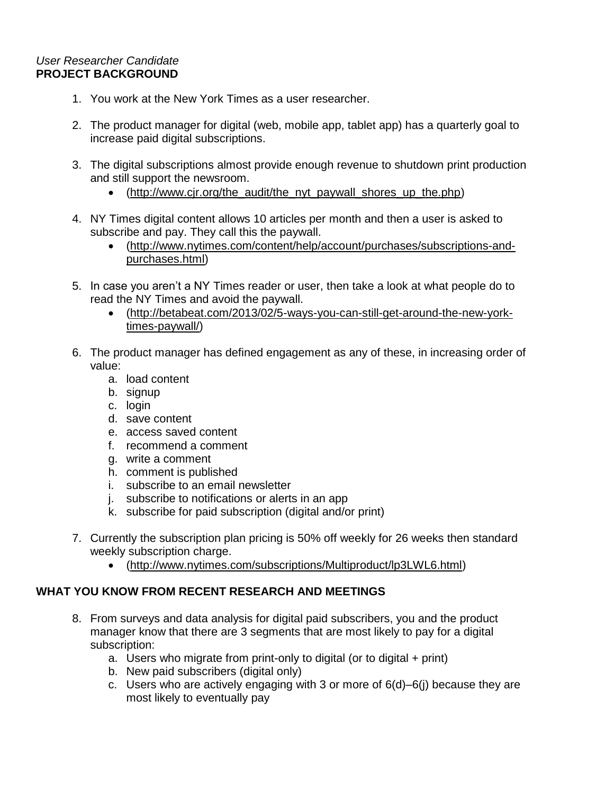## *User Researcher Candidate* **PROJECT BACKGROUND**

- 1. You work at the New York Times as a user researcher.
- 2. The product manager for digital (web, mobile app, tablet app) has a quarterly goal to increase paid digital subscriptions.
- 3. The digital subscriptions almost provide enough revenue to shutdown print production and still support the newsroom.
	- [\(http://www.cjr.org/the\\_audit/the\\_nyt\\_paywall\\_shores\\_up\\_the.php\)](http://www.cjr.org/the_audit/the_nyt_paywall_shores_up_the.php)
- 4. NY Times digital content allows 10 articles per month and then a user is asked to subscribe and pay. They call this the paywall.
	- [\(http://www.nytimes.com/content/help/account/purchases/subscriptions-and](http://www.nytimes.com/content/help/account/purchases/subscriptions-and-purchases.html)[purchases.html\)](http://www.nytimes.com/content/help/account/purchases/subscriptions-and-purchases.html)
- 5. In case you aren't a NY Times reader or user, then take a look at what people do to read the NY Times and avoid the paywall.
	- [\(http://betabeat.com/2013/02/5-ways-you-can-still-get-around-the-new-york](http://betabeat.com/2013/02/5-ways-you-can-still-get-around-the-new-york-times-paywall/)[times-paywall/\)](http://betabeat.com/2013/02/5-ways-you-can-still-get-around-the-new-york-times-paywall/)
- 6. The product manager has defined engagement as any of these, in increasing order of value:
	- a. load content
	- b. signup
	- c. login
	- d. save content
	- e. access saved content
	- f. recommend a comment
	- g. write a comment
	- h. comment is published
	- i. subscribe to an email newsletter
	- j. subscribe to notifications or alerts in an app
	- k. subscribe for paid subscription (digital and/or print)
- 7. Currently the subscription plan pricing is 50% off weekly for 26 weeks then standard weekly subscription charge.
	- [\(http://www.nytimes.com/subscriptions/Multiproduct/lp3LWL6.html\)](http://www.nytimes.com/subscriptions/Multiproduct/lp3LWL6.html)

## **WHAT YOU KNOW FROM RECENT RESEARCH AND MEETINGS**

- 8. From surveys and data analysis for digital paid subscribers, you and the product manager know that there are 3 segments that are most likely to pay for a digital subscription:
	- a. Users who migrate from print-only to digital (or to digital + print)
	- b. New paid subscribers (digital only)
	- c. Users who are actively engaging with 3 or more of 6(d)–6(j) because they are most likely to eventually pay